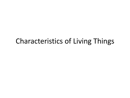# Characteristics of Living Things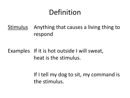# Definition

Stimulus Anything that causes a living thing to respond

# Examples If it is hot outside I will sweat, heat is the stimulus.

If I tell my dog to sit, my command is the stimulus.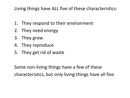Living things have ALL five of these characteristics:

- 1. They respond to their environment
- 2. They need energy
- 3. They grow
- 4. They reproduce
- 5. They get rid of waste

Some non-living things have a few of these characteristics, but only living things have all five.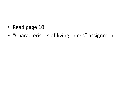- Read page 10
- "Characteristics of living things" assignment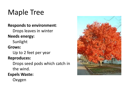# Maple Tree

### **Responds to environment**:

Drops leaves in winter

## **Needs energy:**

Sunlight

## **Grows:**

Up to 2 feet per year

### **Reproduces:**

Drops seed pods which catch in the wind.

## **Expels Waste:**

Oxygen

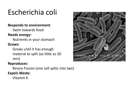# Escherichia coli

#### **Responds to environment**:

Swim towards food

### **Needs energy:**

Nutrients in your stomach **Grows:**

> Grows until it has enough material to split (as little as 20 min)

#### **Reproduces:**

Binary Fission (one cell splits into two)

#### **Expels Waste:**

Vitamin K

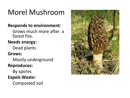# Morel Mushroom

# **Responds to environment**:

Grows much more after a forest fire.

# **Needs energy:**

Dead plants

# **Grows:**

Mostly underground

# **Reproduces:**

By spores

# **Expels Waste:**

Composted soil